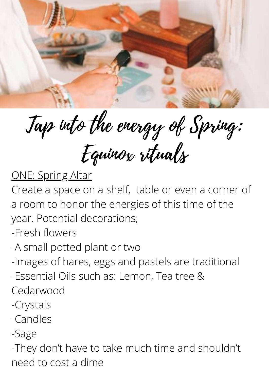ONE: Spring Altar Create a space on a shelf, table or even a corner of a room to honor the energies of this time of the year. Potential decorations; -Fresh flowers -A small potted plant or two -Images of hares, eggs and pastels are traditional -Essential Oils such as: Lemon, Tea tree & Cedarwood -Crystals -Candles -Sage

-They don't have to take much time and shouldn't need to cost a dime



Tap into the energy of Spring: Equinox rituals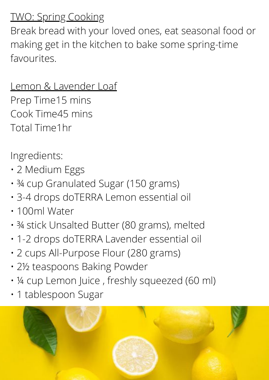# TWO: Spring Cooking

Break bread with your loved ones, eat seasonal food or making get in the kitchen to bake some spring-time favourites.

## Lemon & Lavender Loaf Prep Time15 mins Cook Time45 mins Total Time1hr

Ingredients:

- 2 Medium Eggs
- ¾ cup Granulated Sugar (150 grams)
- 3-4 drops doTERRA Lemon essential oil • 100ml Water
- ¾ stick Unsalted Butter (80 grams), melted
- 1-2 drops doTERRA Lavender essential oil
- 2 cups All-Purpose Flour (280 grams)
- 2½ teaspoons Baking Powder
- ¼ cup Lemon Juice , freshly squeezed (60 ml)
- 1 tablespoon Sugar

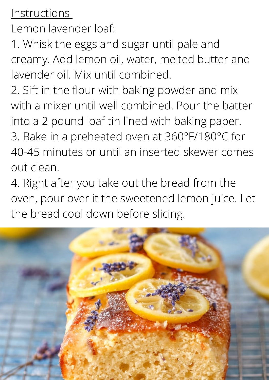#### Instructions

Lemon lavender loaf:

1. Whisk the eggs and sugar until pale and creamy. Add lemon oil, water, melted butter and lavender oil. Mix until combined.

2. Sift in the flour with baking powder and mix with a mixer until well combined. Pour the batter into a 2 pound loaf tin lined with baking paper. 3. Bake in a preheated oven at 360°F/180°C for 40-45 minutes or until an inserted skewer comes out clean.

4. Right after you take out the bread from the oven, pour over it the sweetened lemon juice. Let

# the bread cool down before slicing.

![](_page_2_Picture_6.jpeg)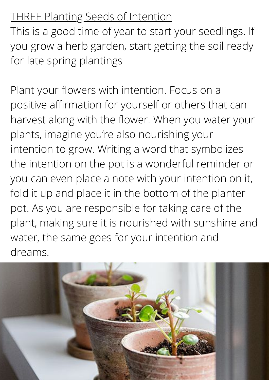# THREE Planting Seeds of Intention

This is a good time of year to start your seedlings. If you grow a herb garden, start getting the soil ready for late spring plantings

Plant your flowers with intention. Focus on a positive affirmation for yourself or others that can harvest along with the flower. When you water your plants, imagine you're also nourishing your intention to grow. Writing a word that symbolizes the intention on the pot is a wonderful reminder or you can even place a note with your intention on it, fold it up and place it in the bottom of the planter

pot. As you are responsible for taking care of the plant, making sure it is nourished with sunshine and water, the same goes for your intention and dreams.

![](_page_3_Picture_4.jpeg)